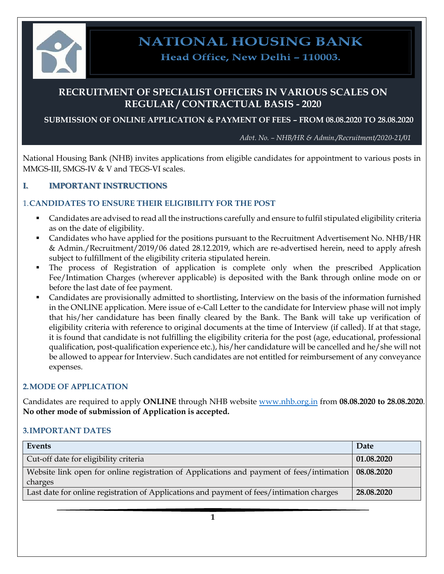

**NATIONAL HOUSING BANK** 

Head Office, New Delhi - 110003.

# **RECRUITMENT OF SPECIALIST OFFICERS IN VARIOUS SCALES ON REGULAR / CONTRACTUAL BASIS - 2020**

**SUBMISSION OF ONLINE APPLICATION & PAYMENT OF FEES – FROM 08.08.2020 TO 28.08.2020**

*Advt. No. – NHB/HR & Admin./Recruitment/2020-21/01*

National Housing Bank (NHB) invites applications from eligible candidates for appointment to various posts in MMGS-III, SMGS-IV & V and TEGS-VI scales.

# **I. IMPORTANT INSTRUCTIONS**

## 1.**CANDIDATES TO ENSURE THEIR ELIGIBILITY FOR THE POST**

- Candidates are advised to read all the instructions carefully and ensure to fulfil stipulated eligibility criteria as on the date of eligibility.
- Candidates who have applied for the positions pursuant to the Recruitment Advertisement No. NHB/HR & Admin./Recruitment/2019/06 dated 28.12.2019, which are re-advertised herein, need to apply afresh subject to fulfillment of the eligibility criteria stipulated herein.
- The process of Registration of application is complete only when the prescribed Application Fee/Intimation Charges (wherever applicable) is deposited with the Bank through online mode on or before the last date of fee payment.
- Candidates are provisionally admitted to shortlisting, Interview on the basis of the information furnished in the ONLINE application. Mere issue of e-Call Letter to the candidate for Interview phase will not imply that his/her candidature has been finally cleared by the Bank. The Bank will take up verification of eligibility criteria with reference to original documents at the time of Interview (if called). If at that stage, it is found that candidate is not fulfilling the eligibility criteria for the post (age, educational, professional qualification, post-qualification experience etc.), his/her candidature will be cancelled and he/she will not be allowed to appear for Interview. Such candidates are not entitled for reimbursement of any conveyance expenses.

## **2.MODE OF APPLICATION**

Candidates are required to apply **ONLINE** through NHB website [www.nhb.org.in](http://www.nhb.org.in/) from **08.08.2020 to 28.08.2020**. **No other mode of submission of Application is accepted.** 

## **3.IMPORTANT DATES**

| Events                                                                                                         | Date       |
|----------------------------------------------------------------------------------------------------------------|------------|
| Cut-off date for eligibility criteria                                                                          | 01.08.2020 |
| Website link open for online registration of Applications and payment of fees/intimation 08.08.2020<br>charges |            |
| Last date for online registration of Applications and payment of fees/intimation charges                       | 28.08.2020 |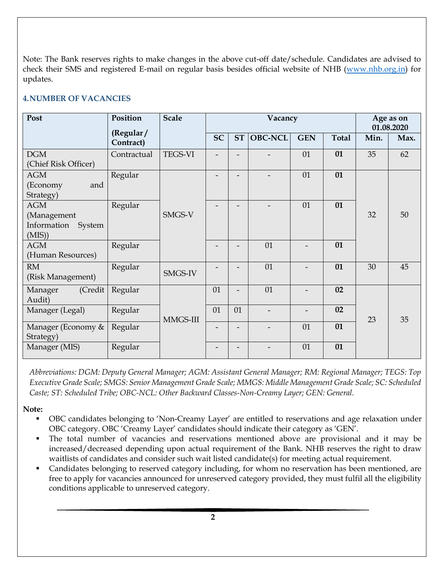Note: The Bank reserves rights to make changes in the above cut-off date/schedule. Candidates are advised to check their SMS and registered E-mail on regular basis besides official website of NHB [\(www.nhb.org.in\)](http://www.nhb.org.in/) for updates.

# **4.NUMBER OF VACANCIES**

| Post                                                      | Position               | <b>Scale</b>   | Vacancy   |                          |                | Age as on<br>01.08.2020 |              |      |      |
|-----------------------------------------------------------|------------------------|----------------|-----------|--------------------------|----------------|-------------------------|--------------|------|------|
|                                                           | (Regular/<br>Contract) |                | <b>SC</b> | <b>ST</b>                | <b>OBC-NCL</b> | <b>GEN</b>              | <b>Total</b> | Min. | Max. |
| DGM<br>(Chief Risk Officer)                               | Contractual            | <b>TEGS-VI</b> |           |                          |                | 01                      | 01           | 35   | 62   |
| <b>AGM</b><br>(Economy<br>and<br>Strategy)                | Regular                |                |           |                          |                | 01                      | 01           |      |      |
| <b>AGM</b><br>(Management<br>Information System<br>(MIS)) | Regular                | SMGS-V         |           |                          |                | 01                      | 01           | 32   | 50   |
| <b>AGM</b><br>(Human Resources)                           | Regular                |                |           |                          | 01             |                         | 01           |      |      |
| RM<br>(Risk Management)                                   | Regular                | SMGS-IV        |           |                          | 01             |                         | 01           | 30   | 45   |
| (Credit<br>Manager<br>Audit)                              | Regular                |                | 01        | $\overline{\phantom{a}}$ | 01             |                         | 02           |      |      |
| Manager (Legal)                                           | Regular                | MMGS-III       | 01        | 01                       |                |                         | 02           | 23   | 35   |
| Manager (Economy &<br>Strategy)                           | Regular                |                |           |                          |                | 01                      | 01           |      |      |
| Manager (MIS)                                             | Regular                |                |           |                          |                | 01                      | 01           |      |      |

*Abbreviations: DGM: Deputy General Manager; AGM: Assistant General Manager; RM: Regional Manager; TEGS: Top Executive Grade Scale; SMGS: Senior Management Grade Scale; MMGS: Middle Management Grade Scale; SC: Scheduled Caste; ST: Scheduled Tribe; OBC-NCL: Other Backward Classes-Non-Creamy Layer; GEN: General.*

## **Note:**

- OBC candidates belonging to 'Non-Creamy Layer' are entitled to reservations and age relaxation under OBC category. OBC 'Creamy Layer' candidates should indicate their category as 'GEN'.
- The total number of vacancies and reservations mentioned above are provisional and it may be increased/decreased depending upon actual requirement of the Bank. NHB reserves the right to draw waitlists of candidates and consider such wait listed candidate(s) for meeting actual requirement.
- Candidates belonging to reserved category including, for whom no reservation has been mentioned, are free to apply for vacancies announced for unreserved category provided, they must fulfil all the eligibility conditions applicable to unreserved category.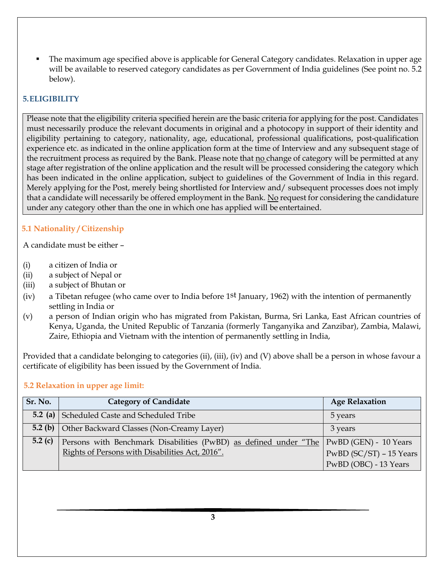The maximum age specified above is applicable for General Category candidates. Relaxation in upper age will be available to reserved category candidates as per Government of India guidelines (See point no. 5.2 below).

## **5.ELIGIBILITY**

Please note that the eligibility criteria specified herein are the basic criteria for applying for the post. Candidates must necessarily produce the relevant documents in original and a photocopy in support of their identity and eligibility pertaining to category, nationality, age, educational, professional qualifications, post-qualification experience etc. as indicated in the online application form at the time of Interview and any subsequent stage of the recruitment process as required by the Bank. Please note that no change of category will be permitted at any stage after registration of the online application and the result will be processed considering the category which has been indicated in the online application, subject to guidelines of the Government of India in this regard. Merely applying for the Post, merely being shortlisted for Interview and/ subsequent processes does not imply that a candidate will necessarily be offered employment in the Bank. No request for considering the candidature under any category other than the one in which one has applied will be entertained.

# **5.1 Nationality / Citizenship**

A candidate must be either –

- (i) a citizen of India or
- (ii) a subject of Nepal or
- (iii) a subject of Bhutan or
- (iv) a Tibetan refugee (who came over to India before 1<sup>st</sup> January, 1962) with the intention of permanently settling in India or
- (v) a person of Indian origin who has migrated from Pakistan, Burma, Sri Lanka, East African countries of Kenya, Uganda, the United Republic of Tanzania (formerly Tanganyika and Zanzibar), Zambia, Malawi, Zaire, Ethiopia and Vietnam with the intention of permanently settling in India,

Provided that a candidate belonging to categories (ii), (iii), (iv) and (V) above shall be a person in whose favour a certificate of eligibility has been issued by the Government of India.

## **5.2 Relaxation in upper age limit:**

| Sr. No. | <b>Category of Candidate</b>                                                             | <b>Age Relaxation</b>     |
|---------|------------------------------------------------------------------------------------------|---------------------------|
|         | <b>5.2 (a)</b> Scheduled Caste and Scheduled Tribe                                       | 5 years                   |
|         | <b>5.2 (b)</b> Other Backward Classes (Non-Creamy Layer)                                 | 3 years                   |
| 5.2 (c) | Persons with Benchmark Disabilities (PwBD) as defined under "The   PwBD (GEN) - 10 Years |                           |
|         | Rights of Persons with Disabilities Act, 2016".                                          | $PwBD$ (SC/ST) – 15 Years |
|         |                                                                                          | PwBD (OBC) - 13 Years     |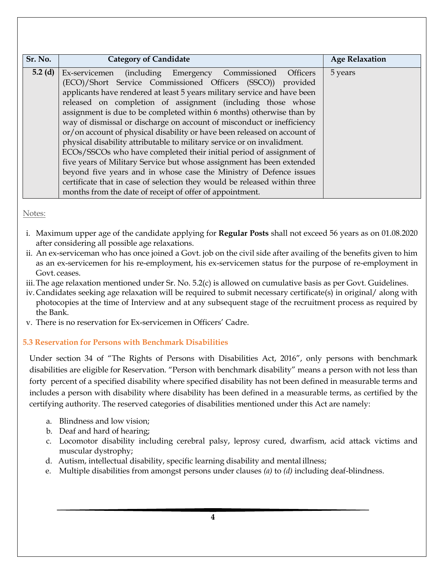| Sr. No.   | <b>Category of Candidate</b>                                                                                                                                                                                                                                                                                                                                                                                                                                                                                                                                                                                                                                                                                                                                                                                                                                                                                                                        | <b>Age Relaxation</b> |
|-----------|-----------------------------------------------------------------------------------------------------------------------------------------------------------------------------------------------------------------------------------------------------------------------------------------------------------------------------------------------------------------------------------------------------------------------------------------------------------------------------------------------------------------------------------------------------------------------------------------------------------------------------------------------------------------------------------------------------------------------------------------------------------------------------------------------------------------------------------------------------------------------------------------------------------------------------------------------------|-----------------------|
| $5.2$ (d) | Ex-servicemen (including Emergency Commissioned<br><b>Officers</b><br>(ECO)/Short Service Commissioned Officers (SSCO)) provided<br>applicants have rendered at least 5 years military service and have been<br>released on completion of assignment (including those whose<br>assignment is due to be completed within 6 months) otherwise than by<br>way of dismissal or discharge on account of misconduct or inefficiency<br>or/on account of physical disability or have been released on account of<br>physical disability attributable to military service or on invalidment.<br>ECOs/SSCOs who have completed their initial period of assignment of<br>five years of Military Service but whose assignment has been extended<br>beyond five years and in whose case the Ministry of Defence issues<br>certificate that in case of selection they would be released within three<br>months from the date of receipt of offer of appointment. | 5 years               |

Notes:

- i. Maximum upper age of the candidate applying for **Regular Posts** shall not exceed 56 years as on 01.08.2020 after considering all possible age relaxations.
- ii. An ex-serviceman who has once joined a Govt. job on the civil side after availing of the benefits given to him as an ex-servicemen for his re-employment, his ex-servicemen status for the purpose of re-employment in Govt. ceases.
- iii.The age relaxation mentioned under Sr. No. 5.2(c) is allowed on cumulative basis as per Govt. Guidelines.
- iv. Candidates seeking age relaxation will be required to submit necessary certificate(s) in original/ along with photocopies at the time of Interview and at any subsequent stage of the recruitment process as required by the Bank.
- v. There is no reservation for Ex-servicemen in Officers' Cadre.

# **5.3 Reservation for Persons with Benchmark Disabilities**

Under section 34 of "The Rights of Persons with Disabilities Act, 2016", only persons with benchmark disabilities are eligible for Reservation. "Person with benchmark disability" means a person with not less than forty percent of a specified disability where specified disability has not been defined in measurable terms and includes a person with disability where disability has been defined in a measurable terms, as certified by the certifying authority. The reserved categories of disabilities mentioned under this Act are namely:

- a. Blindness and low vision;
- b. Deaf and hard of hearing;
- c. Locomotor disability including cerebral palsy, leprosy cured, dwarfism, acid attack victims and muscular dystrophy;
- d. Autism, intellectual disability, specific learning disability and mental illness;
- e. Multiple disabilities from amongst persons under clauses *(a)* to *(d)* including deaf-blindness.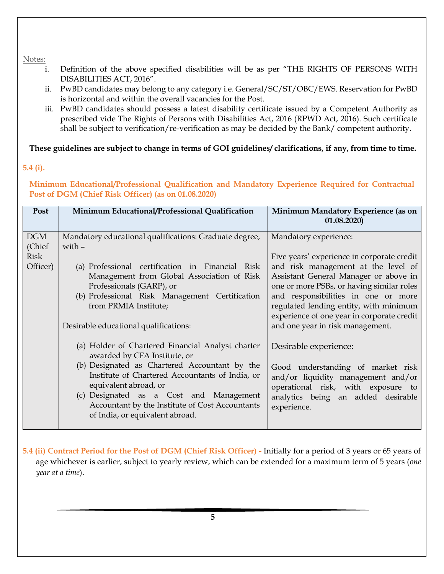Notes:

- i. Definition of the above specified disabilities will be as per "THE RIGHTS OF PERSONS WITH DISABILITIES ACT, 2016".
- ii. PwBD candidates may belong to any category i.e. General/SC/ST/OBC/EWS. Reservation for PwBD is horizontal and within the overall vacancies for the Post.
- iii. PwBD candidates should possess a latest disability certificate issued by a Competent Authority as prescribed vide The Rights of Persons with Disabilities Act, 2016 (RPWD Act, 2016). Such certificate shall be subject to verification/re-verification as may be decided by the Bank/ competent authority.

**These guidelines are subject to change in terms of GOI guidelines/ clarifications, if any, from time to time.**

## **5.4 (i).**

**Minimum Educational/Professional Qualification and Mandatory Experience Required for Contractual Post of DGM (Chief Risk Officer) (as on 01.08.2020)**

| Post        | Minimum Educational/Professional Qualification                                                                                | Minimum Mandatory Experience (as on<br>(01.08.2020)                                                           |
|-------------|-------------------------------------------------------------------------------------------------------------------------------|---------------------------------------------------------------------------------------------------------------|
| <b>DGM</b>  | Mandatory educational qualifications: Graduate degree,                                                                        | Mandatory experience:                                                                                         |
| (Chief      | with $-$                                                                                                                      |                                                                                                               |
| <b>Risk</b> |                                                                                                                               | Five years' experience in corporate credit                                                                    |
| Officer)    | (a) Professional certification in Financial Risk                                                                              | and risk management at the level of                                                                           |
|             | Management from Global Association of Risk                                                                                    | Assistant General Manager or above in                                                                         |
|             | Professionals (GARP), or                                                                                                      | one or more PSBs, or having similar roles                                                                     |
|             | (b) Professional Risk Management Certification                                                                                | and responsibilities in one or more                                                                           |
|             | from PRMIA Institute;                                                                                                         | regulated lending entity, with minimum                                                                        |
|             |                                                                                                                               | experience of one year in corporate credit                                                                    |
|             | Desirable educational qualifications:                                                                                         | and one year in risk management.                                                                              |
|             | (a) Holder of Chartered Financial Analyst charter<br>awarded by CFA Institute, or                                             | Desirable experience:                                                                                         |
|             | (b) Designated as Chartered Accountant by the<br>Institute of Chartered Accountants of India, or<br>equivalent abroad, or     | Good understanding of market risk<br>and/or liquidity management and/or<br>operational risk, with exposure to |
|             | (c) Designated as a Cost and Management<br>Accountant by the Institute of Cost Accountants<br>of India, or equivalent abroad. | analytics being an added desirable<br>experience.                                                             |

**5.4 (ii) Contract Period for the Post of DGM (Chief Risk Officer) -** Initially for a period of 3 years or 65 years of age whichever is earlier, subject to yearly review, which can be extended for a maximum term of 5 years (*one year at a time*).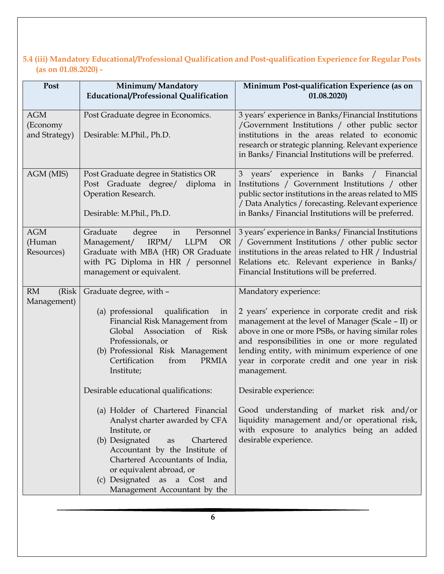# **5.4 (iii) Mandatory Educational/Professional Qualification and Post-qualification Experience for Regular Posts (as on 01.08.2020) -**

| Post                                    | Minimum/Mandatory<br>Educational/Professional Qualification                                                                                                                                                                                                                                                                            | Minimum Post-qualification Experience (as on<br>01.08.2020                                                                                                                                                                                                                                                                                               |
|-----------------------------------------|----------------------------------------------------------------------------------------------------------------------------------------------------------------------------------------------------------------------------------------------------------------------------------------------------------------------------------------|----------------------------------------------------------------------------------------------------------------------------------------------------------------------------------------------------------------------------------------------------------------------------------------------------------------------------------------------------------|
| <b>AGM</b><br>(Economy<br>and Strategy) | Post Graduate degree in Economics.<br>Desirable: M.Phil., Ph.D.                                                                                                                                                                                                                                                                        | 3 years' experience in Banks/Financial Institutions<br>/Government Institutions / other public sector<br>institutions in the areas related to economic<br>research or strategic planning. Relevant experience<br>in Banks/ Financial Institutions will be preferred.                                                                                     |
| AGM (MIS)                               | Post Graduate degree in Statistics OR<br>Post Graduate degree/<br>diploma in<br>Operation Research.<br>Desirable: M.Phil., Ph.D.                                                                                                                                                                                                       | 3 years' experience in Banks / Financial<br>Institutions / Government Institutions / other<br>public sector institutions in the areas related to MIS<br>/ Data Analytics / forecasting. Relevant experience<br>in Banks/ Financial Institutions will be preferred.                                                                                       |
| <b>AGM</b><br>(Human<br>Resources)      | Graduate<br>degree<br>Personnel<br>in<br>Management/ IRPM/<br><b>LLPM</b><br><b>OR</b><br>Graduate with MBA (HR) OR Graduate<br>with PG Diploma in HR / personnel<br>management or equivalent.                                                                                                                                         | 3 years' experience in Banks/ Financial Institutions<br>/ Government Institutions / other public sector<br>institutions in the areas related to HR / Industrial<br>Relations etc. Relevant experience in Banks/<br>Financial Institutions will be preferred.                                                                                             |
| <b>RM</b><br>(Risk)<br>Management)      | Graduate degree, with -<br>(a) professional<br>qualification<br>in<br>Financial Risk Management from<br>Association<br>$\sigma$<br>Global<br><b>Risk</b><br>Professionals, or<br>(b) Professional Risk Management<br>Certification<br>from<br><b>PRMIA</b><br>Institute;                                                               | Mandatory experience:<br>2 years' experience in corporate credit and risk<br>management at the level of Manager (Scale - II) or<br>above in one or more PSBs, or having similar roles<br>and responsibilities in one or more regulated<br>lending entity, with minimum experience of one<br>year in corporate credit and one year in risk<br>management. |
|                                         | Desirable educational qualifications:<br>(a) Holder of Chartered Financial<br>Analyst charter awarded by CFA<br>Institute, or<br>(b) Designated<br>Chartered<br>as<br>Accountant by the Institute of<br>Chartered Accountants of India,<br>or equivalent abroad, or<br>(c) Designated as a Cost<br>and<br>Management Accountant by the | Desirable experience:<br>Good understanding of market risk and/or<br>liquidity management and/or operational risk,<br>with exposure to analytics being an added<br>desirable experience.                                                                                                                                                                 |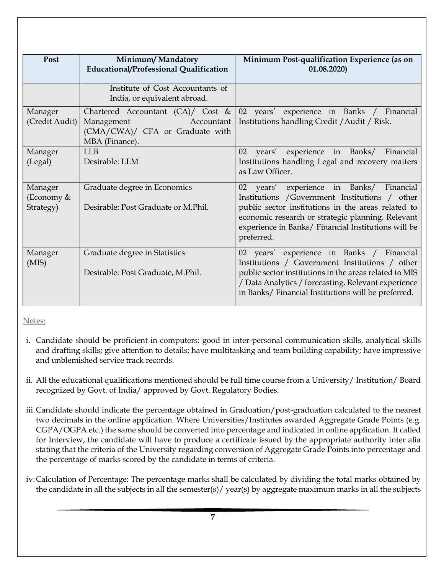| Post                      | Minimum/Mandatory<br>Educational/Professional Qualification                                                          | Minimum Post-qualification Experience (as on<br>01.08.2020                                                                                                                                                                                                          |  |
|---------------------------|----------------------------------------------------------------------------------------------------------------------|---------------------------------------------------------------------------------------------------------------------------------------------------------------------------------------------------------------------------------------------------------------------|--|
|                           | Institute of Cost Accountants of<br>India, or equivalent abroad.                                                     |                                                                                                                                                                                                                                                                     |  |
| Manager<br>(Credit Audit) | Chartered Accountant $(CA)/$ Cost &<br>Management<br>Accountant<br>(CMA/CWA)/ CFA or Graduate with<br>MBA (Finance). | 02 years' experience in Banks / Financial<br>Institutions handling Credit / Audit / Risk.                                                                                                                                                                           |  |
| Manager                   | I J.B                                                                                                                | years'<br>experience in Banks/<br>02<br>Financial                                                                                                                                                                                                                   |  |
| (Legal)                   | Desirable: LLM                                                                                                       | Institutions handling Legal and recovery matters<br>as Law Officer.                                                                                                                                                                                                 |  |
| Manager<br>(Economy &     | Graduate degree in Economics                                                                                         | years' experience in Banks/ Financial<br>02<br>Institutions / Government Institutions / other                                                                                                                                                                       |  |
| Strategy)                 | Desirable: Post Graduate or M.Phil.                                                                                  | public sector institutions in the areas related to<br>economic research or strategic planning. Relevant<br>experience in Banks/ Financial Institutions will be<br>preferred.                                                                                        |  |
| Manager<br>(MIS)          | Graduate degree in Statistics<br>Desirable: Post Graduate, M.Phil.                                                   | 02 years' experience in Banks / Financial<br>Institutions / Government Institutions / other<br>public sector institutions in the areas related to MIS<br>/ Data Analytics / forecasting. Relevant experience<br>in Banks/ Financial Institutions will be preferred. |  |

Notes:

- i. Candidate should be proficient in computers; good in inter-personal communication skills, analytical skills and drafting skills; give attention to details; have multitasking and team building capability; have impressive and unblemished service track records.
- ii. All the educational qualifications mentioned should be full time course from a University/ Institution/ Board recognized by Govt. of India/ approved by Govt. Regulatory Bodies.
- iii.Candidate should indicate the percentage obtained in Graduation/post-graduation calculated to the nearest two decimals in the online application. Where Universities/Institutes awarded Aggregate Grade Points (e.g. CGPA/OGPA etc.) the same should be converted into percentage and indicated in online application. If called for Interview, the candidate will have to produce a certificate issued by the appropriate authority inter alia stating that the criteria of the University regarding conversion of Aggregate Grade Points into percentage and the percentage of marks scored by the candidate in terms of criteria.
- iv.Calculation of Percentage: The percentage marks shall be calculated by dividing the total marks obtained by the candidate in all the subjects in all the semester(s)/ year(s) by aggregate maximum marks in all the subjects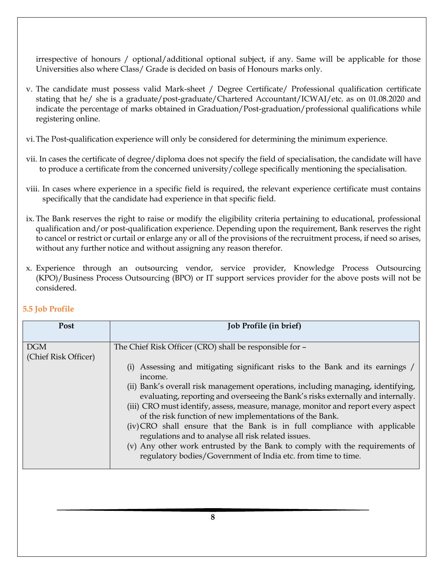irrespective of honours / optional/additional optional subject, if any. Same will be applicable for those Universities also where Class/ Grade is decided on basis of Honours marks only.

- v. The candidate must possess valid Mark-sheet / Degree Certificate/ Professional qualification certificate stating that he/ she is a graduate/post-graduate/Chartered Accountant/ICWAI/etc. as on 01.08.2020 and indicate the percentage of marks obtained in Graduation/Post-graduation/professional qualifications while registering online.
- vi.The Post-qualification experience will only be considered for determining the minimum experience.
- vii. In cases the certificate of degree/diploma does not specify the field of specialisation, the candidate will have to produce a certificate from the concerned university/college specifically mentioning the specialisation.
- viii. In cases where experience in a specific field is required, the relevant experience certificate must contains specifically that the candidate had experience in that specific field.
- ix. The Bank reserves the right to raise or modify the eligibility criteria pertaining to educational, professional qualification and/or post-qualification experience. Depending upon the requirement, Bank reserves the right to cancel or restrict or curtail or enlarge any or all of the provisions of the recruitment process, if need so arises, without any further notice and without assigning any reason therefor.
- x. Experience through an outsourcing vendor, service provider, Knowledge Process Outsourcing (KPO)/Business Process Outsourcing (BPO) or IT support services provider for the above posts will not be considered.

| Post                               | Job Profile (in brief)                                                                                                                                                                                                                                                                                                                                                                                                                                                                                                                                                                                                                                                                                                                                       |
|------------------------------------|--------------------------------------------------------------------------------------------------------------------------------------------------------------------------------------------------------------------------------------------------------------------------------------------------------------------------------------------------------------------------------------------------------------------------------------------------------------------------------------------------------------------------------------------------------------------------------------------------------------------------------------------------------------------------------------------------------------------------------------------------------------|
| <b>DGM</b><br>(Chief Risk Officer) | The Chief Risk Officer (CRO) shall be responsible for -<br>Assessing and mitigating significant risks to the Bank and its earnings /<br>income.<br>(ii) Bank's overall risk management operations, including managing, identifying,<br>evaluating, reporting and overseeing the Bank's risks externally and internally.<br>(iii) CRO must identify, assess, measure, manage, monitor and report every aspect<br>of the risk function of new implementations of the Bank.<br>(iv) CRO shall ensure that the Bank is in full compliance with applicable<br>regulations and to analyse all risk related issues.<br>(v) Any other work entrusted by the Bank to comply with the requirements of<br>regulatory bodies/Government of India etc. from time to time. |

# **5.5 Job Profile**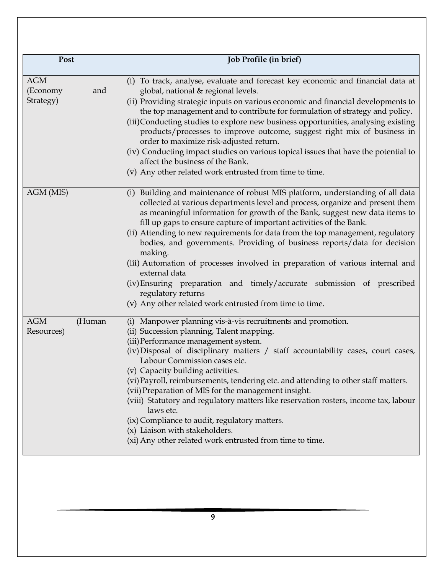| Post                                       | Job Profile (in brief)                                                                                                                                                                                                                                                                                                                                                                                                                                                                                                                                                                                                                                                                                                                                       |
|--------------------------------------------|--------------------------------------------------------------------------------------------------------------------------------------------------------------------------------------------------------------------------------------------------------------------------------------------------------------------------------------------------------------------------------------------------------------------------------------------------------------------------------------------------------------------------------------------------------------------------------------------------------------------------------------------------------------------------------------------------------------------------------------------------------------|
|                                            |                                                                                                                                                                                                                                                                                                                                                                                                                                                                                                                                                                                                                                                                                                                                                              |
| <b>AGM</b><br>(Economy<br>and<br>Strategy) | (i) To track, analyse, evaluate and forecast key economic and financial data at<br>global, national & regional levels.<br>(ii) Providing strategic inputs on various economic and financial developments to<br>the top management and to contribute for formulation of strategy and policy.<br>(iii)Conducting studies to explore new business opportunities, analysing existing<br>products/processes to improve outcome, suggest right mix of business in<br>order to maximize risk-adjusted return.<br>(iv) Conducting impact studies on various topical issues that have the potential to<br>affect the business of the Bank.<br>(v) Any other related work entrusted from time to time.                                                                 |
| AGM (MIS)                                  | (i) Building and maintenance of robust MIS platform, understanding of all data<br>collected at various departments level and process, organize and present them<br>as meaningful information for growth of the Bank, suggest new data items to<br>fill up gaps to ensure capture of important activities of the Bank.<br>(ii) Attending to new requirements for data from the top management, regulatory<br>bodies, and governments. Providing of business reports/data for decision<br>making.<br>(iii) Automation of processes involved in preparation of various internal and<br>external data<br>(iv) Ensuring preparation and timely/accurate submission of prescribed<br>regulatory returns<br>(v) Any other related work entrusted from time to time. |
| <b>AGM</b><br>(Human<br>Resources)         | (i) Manpower planning vis-à-vis recruitments and promotion.<br>(ii) Succession planning, Talent mapping.<br>(iii) Performance management system.<br>(iv) Disposal of disciplinary matters / staff accountability cases, court cases,<br>Labour Commission cases etc.<br>(v) Capacity building activities.<br>(vi) Payroll, reimbursements, tendering etc. and attending to other staff matters.<br>(vii) Preparation of MIS for the management insight.<br>(viii) Statutory and regulatory matters like reservation rosters, income tax, labour<br>laws etc.<br>(ix) Compliance to audit, regulatory matters.<br>(x) Liaison with stakeholders.<br>(xi) Any other related work entrusted from time to time.                                                  |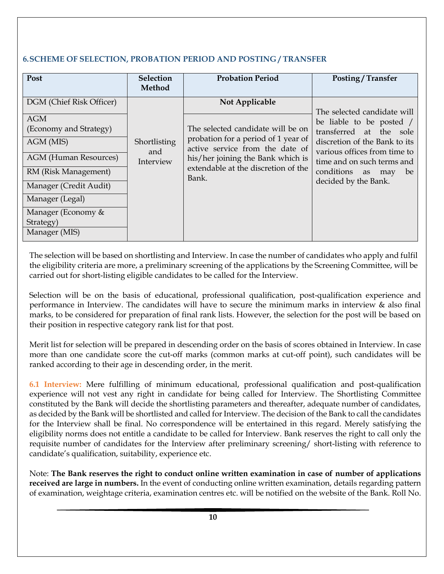# **6.SCHEME OF SELECTION, PROBATION PERIOD AND POSTING / TRANSFER**

| Post                                                                                                                                                                                                     | Selection                                  | <b>Probation Period</b>                                                                                                                                                                                            | Posting / Transfer                                                                                                                                                                                                                            |
|----------------------------------------------------------------------------------------------------------------------------------------------------------------------------------------------------------|--------------------------------------------|--------------------------------------------------------------------------------------------------------------------------------------------------------------------------------------------------------------------|-----------------------------------------------------------------------------------------------------------------------------------------------------------------------------------------------------------------------------------------------|
| DGM (Chief Risk Officer)<br><b>AGM</b><br>(Economy and Strategy)<br>AGM (MIS)<br><b>AGM</b> (Human Resources)<br>RM (Risk Management)<br>Manager (Credit Audit)<br>Manager (Legal)<br>Manager (Economy & | Method<br>Shortlisting<br>and<br>Interview | Not Applicable<br>The selected candidate will be on<br>probation for a period of 1 year of<br>active service from the date of<br>his/her joining the Bank which is<br>extendable at the discretion of the<br>Bank. | The selected candidate will<br>be liable to be posted /<br>transferred at the<br>sole<br>discretion of the Bank to its<br>various offices from time to<br>time and on such terms and<br>conditions<br>be<br>as<br>may<br>decided by the Bank. |
| Strategy)<br>Manager (MIS)                                                                                                                                                                               |                                            |                                                                                                                                                                                                                    |                                                                                                                                                                                                                                               |

The selection will be based on shortlisting and Interview. In case the number of candidates who apply and fulfil the eligibility criteria are more, a preliminary screening of the applications by the Screening Committee, will be carried out for short-listing eligible candidates to be called for the Interview.

Selection will be on the basis of educational, professional qualification, post-qualification experience and performance in Interview. The candidates will have to secure the minimum marks in interview & also final marks, to be considered for preparation of final rank lists. However, the selection for the post will be based on their position in respective category rank list for that post.

Merit list for selection will be prepared in descending order on the basis of scores obtained in Interview. In case more than one candidate score the cut-off marks (common marks at cut-off point), such candidates will be ranked according to their age in descending order, in the merit.

**6.1 Interview:** Mere fulfilling of minimum educational, professional qualification and post-qualification experience will not vest any right in candidate for being called for Interview. The Shortlisting Committee constituted by the Bank will decide the shortlisting parameters and thereafter, adequate number of candidates, as decided by the Bank will be shortlisted and called for Interview. The decision of the Bank to call the candidates for the Interview shall be final. No correspondence will be entertained in this regard. Merely satisfying the eligibility norms does not entitle a candidate to be called for Interview. Bank reserves the right to call only the requisite number of candidates for the Interview after preliminary screening/ short-listing with reference to candidate's qualification, suitability, experience etc.

Note: **The Bank reserves the right to conduct online written examination in case of number of applications received are large in numbers.** In the event of conducting online written examination, details regarding pattern of examination, weightage criteria, examination centres etc. will be notified on the website of the Bank. Roll No.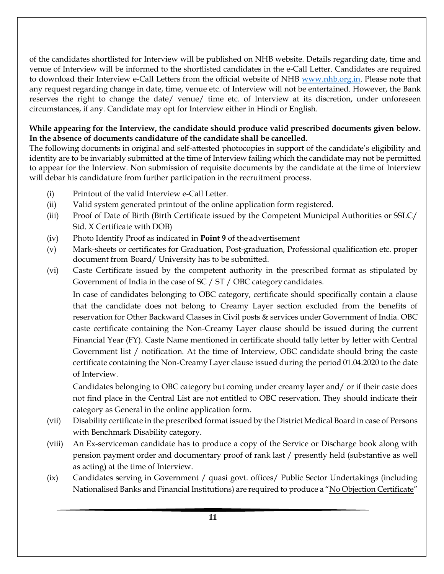of the candidates shortlisted for Interview will be published on NHB website. Details regarding date, time and venue of Interview will be informed to the shortlisted candidates in the e-Call Letter. Candidates are required to download their Interview e-Call Letters from the official website of NHB [www.nhb.org.in.](http://www.nhb.org.in/) Please note that any request regarding change in date, time, venue etc. of Interview will not be entertained. However, the Bank reserves the right to change the date/ venue/ time etc. of Interview at its discretion, under unforeseen circumstances, if any. Candidate may opt for Interview either in Hindi or English.

#### **While appearing for the Interview, the candidate should produce valid prescribed documents given below. In the absence of documents candidature of the candidate shall be cancelled**.

The following documents in original and self-attested photocopies in support of the candidate's eligibility and identity are to be invariably submitted at the time of Interview failing which the candidate may not be permitted to appear for the Interview. Non submission of requisite documents by the candidate at the time of Interview will debar his candidature from further participation in the recruitment process.

- (i) Printout of the valid Interview e-Call Letter.
- (ii) Valid system generated printout of the online application form registered.
- (iii) Proof of Date of Birth (Birth Certificate issued by the Competent Municipal Authorities or SSLC/ Std. X Certificate with DOB)
- (iv) Photo Identify Proof as indicated in **Point 9** of the advertisement
- (v) Mark-sheets or certificates for Graduation, Post-graduation, Professional qualification etc. proper document from Board/ University has to be submitted.
- (vi) Caste Certificate issued by the competent authority in the prescribed format as stipulated by Government of India in the case of SC / ST / OBC category candidates.

In case of candidates belonging to OBC category, certificate should specifically contain a clause that the candidate does not belong to Creamy Layer section excluded from the benefits of reservation for Other Backward Classes in Civil posts & services under Government of India. OBC caste certificate containing the Non-Creamy Layer clause should be issued during the current Financial Year (FY). Caste Name mentioned in certificate should tally letter by letter with Central Government list / notification. At the time of Interview, OBC candidate should bring the caste certificate containing the Non-Creamy Layer clause issued during the period 01.04.2020 to the date of Interview.

Candidates belonging to OBC category but coming under creamy layer and/ or if their caste does not find place in the Central List are not entitled to OBC reservation. They should indicate their category as General in the online application form.

- (vii) Disability certificate in the prescribed format issued by the District Medical Board in case of Persons with Benchmark Disability category.
- (viii) An Ex-serviceman candidate has to produce a copy of the Service or Discharge book along with pension payment order and documentary proof of rank last / presently held (substantive as well as acting) at the time of Interview.
- (ix) Candidates serving in Government / quasi govt. offices/ Public Sector Undertakings (including Nationalised Banks and Financial Institutions) are required to produce a "No Objection Certificate"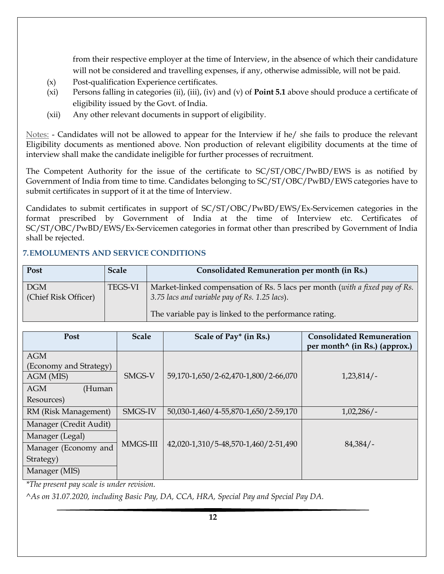from their respective employer at the time of Interview, in the absence of which their candidature will not be considered and travelling expenses, if any, otherwise admissible, will not be paid.

- (x) Post-qualification Experience certificates.
- (xi) Persons falling in categories (ii), (iii), (iv) and (v) of **Point 5.1** above should produce a certificate of eligibility issued by the Govt. of India.
- (xii) Any other relevant documents in support of eligibility.

Notes: - Candidates will not be allowed to appear for the Interview if he/ she fails to produce the relevant Eligibility documents as mentioned above. Non production of relevant eligibility documents at the time of interview shall make the candidate ineligible for further processes of recruitment.

The Competent Authority for the issue of the certificate to SC/ST/OBC/PwBD/EWS is as notified by Government of India from time to time. Candidates belonging to SC/ST/OBC/PwBD/EWS categories have to submit certificates in support of it at the time of Interview.

Candidates to submit certificates in support of SC/ST/OBC/PwBD/EWS/Ex-Servicemen categories in the format prescribed by Government of India at the time of Interview etc. Certificates of SC/ST/OBC/PwBD/EWS/Ex-Servicemen categories in format other than prescribed by Government of India shall be rejected.

## **7.EMOLUMENTS AND SERVICE CONDITIONS**

| Post                               | <b>Scale</b>   | Consolidated Remuneration per month (in Rs.)                                                                                 |
|------------------------------------|----------------|------------------------------------------------------------------------------------------------------------------------------|
| <b>DGM</b><br>(Chief Risk Officer) | <b>TEGS-VI</b> | Market-linked compensation of Rs. 5 lacs per month (with a fixed pay of Rs.<br>3.75 lacs and variable pay of Rs. 1.25 lacs). |
|                                    |                | The variable pay is linked to the performance rating.                                                                        |

| Post                                 | <b>Scale</b> | Scale of Pay* (in Rs.)               | <b>Consolidated Remuneration</b><br>per month <sup>^</sup> (in Rs.) (approx.) |
|--------------------------------------|--------------|--------------------------------------|-------------------------------------------------------------------------------|
| <b>AGM</b><br>(Economy and Strategy) |              |                                      |                                                                               |
| AGM (MIS)                            | SMGS-V       | 59,170-1,650/2-62,470-1,800/2-66,070 | 1,23,814/                                                                     |
| <b>AGM</b><br>(Human                 |              |                                      |                                                                               |
| Resources)                           |              |                                      |                                                                               |
| RM (Risk Management)                 | SMGS-IV      | 50,030-1,460/4-55,870-1,650/2-59,170 | $1,02,286/$ -                                                                 |
| Manager (Credit Audit)               |              |                                      |                                                                               |
| Manager (Legal)                      |              |                                      |                                                                               |
| Manager (Economy and                 | MMGS-III     | 42,020-1,310/5-48,570-1,460/2-51,490 | 84,384/                                                                       |
| Strategy)                            |              |                                      |                                                                               |
| Manager (MIS)                        |              |                                      |                                                                               |

*\*The present pay scale is under revision.*

*^As on 31.07.2020, including Basic Pay, DA, CCA, HRA, Special Pay and Special Pay DA.*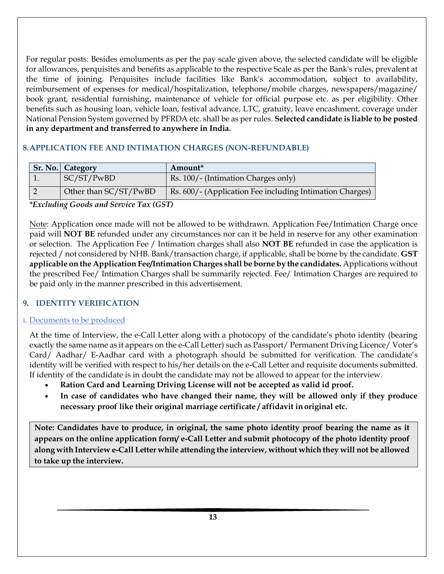For regular posts: Besides emoluments as per the pay scale given above, the selected candidate will be eligible for allowances, perquisites and benefits as applicable to the respective Scale as per the Bank's rules, prevalent at the time of joining. Perquisites include facilities like Bank's accommodation, subject to availability, reimbursement of expenses for medical/hospitalization, telephone/mobile charges, newspapers/magazine/ book grant, residential furnishing, maintenance of vehicle for official purpose etc. as per eligibility. Other benefits such as housing loan, vehicle loan, festival advance, LTC, gratuity, leave encashment, coverage under National Pension System governed by PFRDA etc. shall be as per rules. **Selected candidate is liable to be posted in any department and transferred to anywhere in India.**

# **8.APPLICATION FEE AND INTIMATION CHARGES (NON-REFUNDABLE)**

| <b>Sr. No.</b> Category | Amount <sup>*</sup>                                      |
|-------------------------|----------------------------------------------------------|
| SC/ST/PwBD              | Rs. 100/- (Intimation Charges only)                      |
| Other than SC/ST/PwBD   | Rs. 600/- (Application Fee including Intimation Charges) |

 *\*Excluding Goods and Service Tax (GST)*

Note: Application once made will not be allowed to be withdrawn. Application Fee/Intimation Charge once paid will **NOT BE** refunded under any circumstances nor can it be held in reserve for any other examination or selection. The Application Fee / Intimation charges shall also **NOT BE** refunded in case the application is rejected / not considered by NHB. Bank/transaction charge, if applicable, shall be borne by the candidate. **GST applicable on the Application Fee/Intimation Charges shall be borne by the candidates.** Applications without the prescribed Fee/ Intimation Charges shall be summarily rejected. Fee/ Intimation Charges are required to be paid only in the manner prescribed in this advertisement.

## **9. IDENTITY VERIFICATION**

## i. Documents to be produced

At the time of Interview, the e-Call Letter along with a photocopy of the candidate's photo identity (bearing exactly the same name as it appears on the e-Call Letter) such as Passport/ Permanent Driving Licence/ Voter's Card/ Aadhar/ E-Aadhar card with a photograph should be submitted for verification. The candidate's identity will be verified with respect to his/her details on the e-Call Letter and requisite documents submitted. If identity of the candidate is in doubt the candidate may not be allowed to appear for the interview.

- **Ration Card and Learning Driving License will not be accepted as valid id proof.**
- **In case of candidates who have changed their name, they will be allowed only if they produce necessary proof like their original marriage certificate / affidavit in original etc.**

**Note: Candidates have to produce, in original, the same photo identity proof bearing the name as it appears on the online application form/ e-Call Letter and submit photocopy of the photo identity proof along with Interview e-Call Letter while attending the interview, without which they will not be allowed to take up the interview.**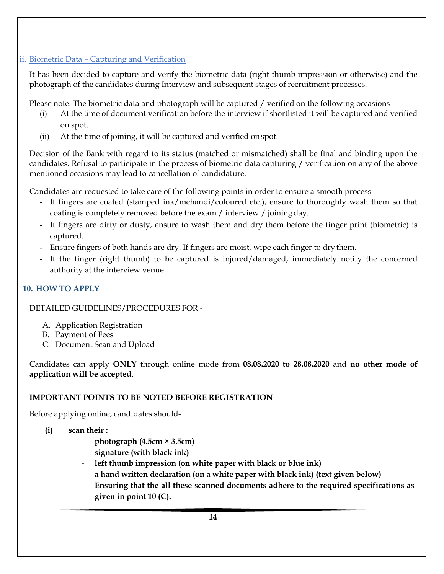# ii. Biometric Data – Capturing and Verification

It has been decided to capture and verify the biometric data (right thumb impression or otherwise) and the photograph of the candidates during Interview and subsequent stages of recruitment processes.

Please note: The biometric data and photograph will be captured / verified on the following occasions –

- (i) At the time of document verification before the interview if shortlisted it will be captured and verified on spot.
- (ii) At the time of joining, it will be captured and verified onspot.

Decision of the Bank with regard to its status (matched or mismatched) shall be final and binding upon the candidates. Refusal to participate in the process of biometric data capturing / verification on any of the above mentioned occasions may lead to cancellation of candidature.

Candidates are requested to take care of the following points in order to ensure a smooth process -

- If fingers are coated (stamped ink/mehandi/coloured etc.), ensure to thoroughly wash them so that coating is completely removed before the exam / interview / joiningday.
- If fingers are dirty or dusty, ensure to wash them and dry them before the finger print (biometric) is captured.
- Ensure fingers of both hands are dry. If fingers are moist, wipe each finger to drythem.
- If the finger (right thumb) to be captured is injured/damaged, immediately notify the concerned authority at the interview venue.

# **10. HOW TO APPLY**

DETAILED GUIDELINES/PROCEDURES FOR -

- A. Application Registration
- B. Payment of Fees
- C. Document Scan and Upload

Candidates can apply **ONLY** through online mode from **08.08.2020 to 28.08.2020** and **no other mode of application will be accepted**.

# **IMPORTANT POINTS TO BE NOTED BEFORE REGISTRATION**

Before applying online, candidates should-

- **(i) scan their :** 
	- **photograph (4.5cm × 3.5cm)**
	- **signature (with black ink)**
	- **left thumb impression (on white paper with black or blue ink)**
	- a hand written declaration (on a white paper with black ink) (text given below) **Ensuring that the all these scanned documents adhere to the required specifications as given in point 10 (C).**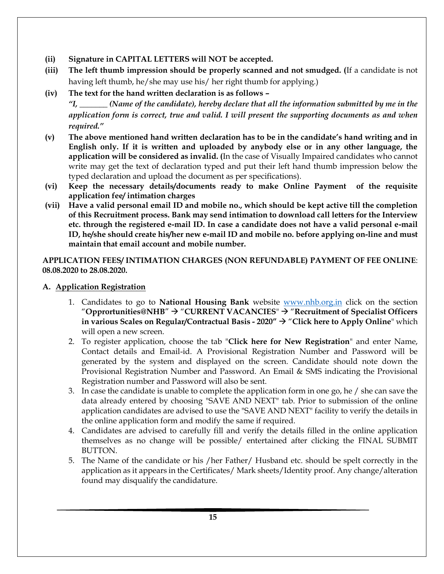## **(ii) Signature in CAPITAL LETTERS will NOT be accepted.**

**(iii) The left thumb impression should be properly scanned and not smudged. (**If a candidate is not having left thumb, he/she may use his/ her right thumb for applying.)

# **(iv) The text for the hand written declaration is as follows –**

*"I, \_\_\_\_\_\_\_ (Name of the candidate), hereby declare that all the information submitted by me in the application form is correct, true and valid. I will present the supporting documents as and when required."* 

- **(v) The above mentioned hand written declaration has to be in the candidate's hand writing and in English only. If it is written and uploaded by anybody else or in any other language, the application will be considered as invalid. (**In the case of Visually Impaired candidates who cannot write may get the text of declaration typed and put their left hand thumb impression below the typed declaration and upload the document as per specifications).
- **(vi) Keep the necessary details/documents ready to make Online Payment of the requisite application fee/ intimation charges**
- **(vii) Have a valid personal email ID and mobile no., which should be kept active till the completion of this Recruitment process. Bank may send intimation to download call letters for the Interview etc. through the registered e-mail ID. In case a candidate does not have a valid personal e-mail ID, he/she should create his/her new e-mail ID and mobile no. before applying on-line and must maintain that email account and mobile number.**

**APPLICATION FEES/ INTIMATION CHARGES (NON REFUNDABLE) PAYMENT OF FEE ONLINE**: **08.08.2020 to 28.08.2020.** 

## **A. Application Registration**

- 1. Candidates to go to **National Housing Bank** website [www.nhb.org.in](http://www.nhb.org.in/) click on the section "Opprortunities@NHB"  $\rightarrow$  "CURRENT VACANCIES"  $\rightarrow$  "Recruitment of Specialist Officers **in various Scales on Regular/Contractual Basis - 2020"** "**Click here to Apply Online**" which will open a new screen.
- 2. To register application, choose the tab "**Click here for New Registration**" and enter Name, Contact details and Email-id. A Provisional Registration Number and Password will be generated by the system and displayed on the screen. Candidate should note down the Provisional Registration Number and Password. An Email & SMS indicating the Provisional Registration number and Password will also be sent.
- 3. In case the candidate is unable to complete the application form in one go, he / she can save the data already entered by choosing "SAVE AND NEXT" tab. Prior to submission of the online application candidates are advised to use the "SAVE AND NEXT" facility to verify the details in the online application form and modify the same if required.
- 4. Candidates are advised to carefully fill and verify the details filled in the online application themselves as no change will be possible/ entertained after clicking the FINAL SUBMIT BUTTON.
- 5. The Name of the candidate or his /her Father/ Husband etc. should be spelt correctly in the application as it appears in the Certificates/ Mark sheets/Identity proof. Any change/alteration found may disqualify the candidature.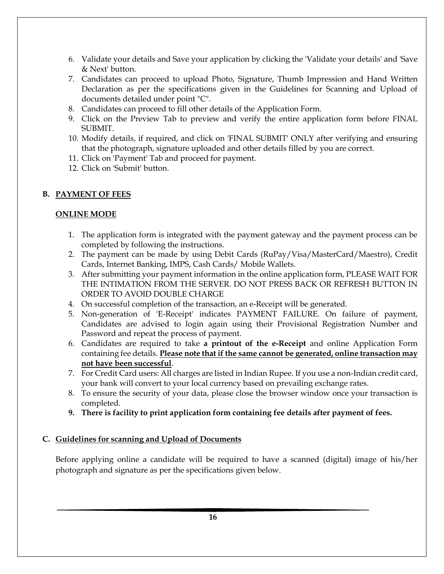- 6. Validate your details and Save your application by clicking the 'Validate your details' and 'Save & Next' button.
- 7. Candidates can proceed to upload Photo, Signature, Thumb Impression and Hand Written Declaration as per the specifications given in the Guidelines for Scanning and Upload of documents detailed under point "C".
- 8. Candidates can proceed to fill other details of the Application Form.
- 9. Click on the Preview Tab to preview and verify the entire application form before FINAL SUBMIT.
- 10. Modify details, if required, and click on 'FINAL SUBMIT' ONLY after verifying and ensuring that the photograph, signature uploaded and other details filled by you are correct.
- 11. Click on 'Payment' Tab and proceed for payment.
- 12. Click on 'Submit' button.

#### **B. PAYMENT OF FEES**

#### **ONLINE MODE**

- 1. The application form is integrated with the payment gateway and the payment process can be completed by following the instructions.
- 2. The payment can be made by using Debit Cards (RuPay/Visa/MasterCard/Maestro), Credit Cards, Internet Banking, IMPS, Cash Cards/ Mobile Wallets.
- 3. After submitting your payment information in the online application form, PLEASE WAIT FOR THE INTIMATION FROM THE SERVER. DO NOT PRESS BACK OR REFRESH BUTTON IN ORDER TO AVOID DOUBLE CHARGE
- 4. On successful completion of the transaction, an e-Receipt will be generated.
- 5. Non-generation of 'E-Receipt' indicates PAYMENT FAILURE. On failure of payment, Candidates are advised to login again using their Provisional Registration Number and Password and repeat the process of payment.
- 6. Candidates are required to take **a printout of the e-Receipt** and online Application Form containing fee details. **Please note that if the same cannot be generated, online transaction may not have been successful**.
- 7. For Credit Card users: All charges are listed in Indian Rupee. If you use a non-Indian credit card, your bank will convert to your local currency based on prevailing exchange rates.
- 8. To ensure the security of your data, please close the browser window once your transaction is completed.
- **9. There is facility to print application form containing fee details after payment of fees.**

#### **C. Guidelines for scanning and Upload of Documents**

Before applying online a candidate will be required to have a scanned (digital) image of his/her photograph and signature as per the specifications given below.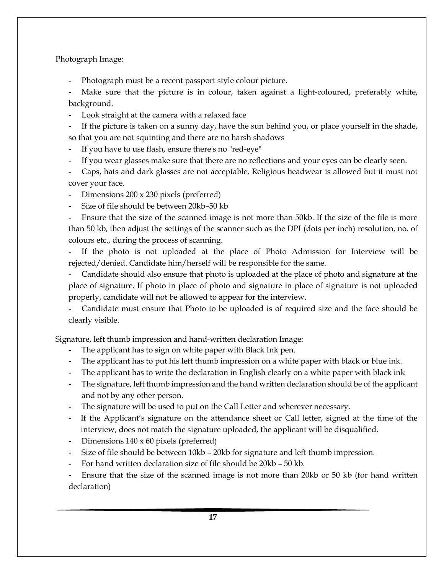#### Photograph Image:

**-** Photograph must be a recent passport style colour picture.

Make sure that the picture is in colour, taken against a light-coloured, preferably white, background.

- **-** Look straight at the camera with a relaxed face
- **-** If the picture is taken on a sunny day, have the sun behind you, or place yourself in the shade, so that you are not squinting and there are no harsh shadows
- **-** If you have to use flash, ensure there's no "red-eye"
- **-** If you wear glasses make sure that there are no reflections and your eyes can be clearly seen.
- **-** Caps, hats and dark glasses are not acceptable. Religious headwear is allowed but it must not cover your face.
- **-** Dimensions 200 x 230 pixels (preferred)
- **-** Size of file should be between 20kb–50 kb

**-** Ensure that the size of the scanned image is not more than 50kb. If the size of the file is more than 50 kb, then adjust the settings of the scanner such as the DPI (dots per inch) resolution, no. of colours etc., during the process of scanning.

If the photo is not uploaded at the place of Photo Admission for Interview will be rejected/denied. Candidate him/herself will be responsible for the same.

**-** Candidate should also ensure that photo is uploaded at the place of photo and signature at the place of signature. If photo in place of photo and signature in place of signature is not uploaded properly, candidate will not be allowed to appear for the interview.

**-** Candidate must ensure that Photo to be uploaded is of required size and the face should be clearly visible.

Signature, left thumb impression and hand-written declaration Image:

- **-** The applicant has to sign on white paper with Black Ink pen.
- **-** The applicant has to put his left thumb impression on a white paper with black or blue ink.
- **-** The applicant has to write the declaration in English clearly on a white paper with black ink
- **-** The signature, left thumb impression and the hand written declaration should be of the applicant and not by any other person.
- **-** The signature will be used to put on the Call Letter and wherever necessary.
- **-** If the Applicant's signature on the attendance sheet or Call letter, signed at the time of the interview, does not match the signature uploaded, the applicant will be disqualified.
- **-** Dimensions 140 x 60 pixels (preferred)
- **-** Size of file should be between 10kb 20kb for signature and left thumb impression.
- **-** For hand written declaration size of file should be 20kb 50 kb.

**-** Ensure that the size of the scanned image is not more than 20kb or 50 kb (for hand written declaration)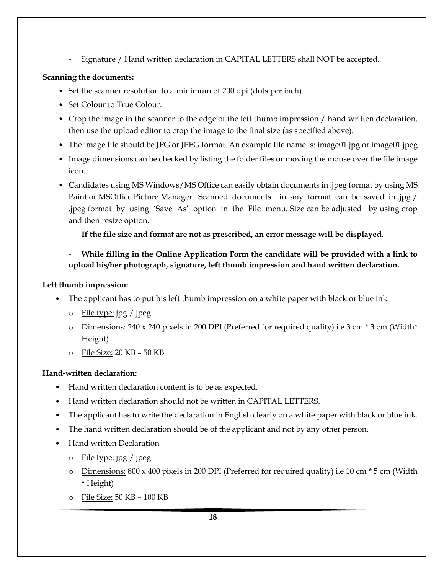**-** Signature / Hand written declaration in CAPITAL LETTERS shall NOT be accepted.

#### **Scanning the documents:**

- Set the scanner resolution to a minimum of 200 dpi (dots per inch)
- Set Colour to True Colour.
- Crop the image in the scanner to the edge of the left thumb impression / hand written declaration, then use the upload editor to crop the image to the final size (as specified above).
- The image file should be JPG or JPEG format. An example file name is: image01.jpg or image01.jpeg
- Image dimensions can be checked by listing the folder files or moving the mouse over the file image icon.
- Candidates using MS Windows/MS Office can easily obtain documents in .jpeg format by using MS Paint or MSOffice Picture Manager. Scanned documents in any format can be saved in .jpg / .jpeg format by using 'Save As' option in the File menu. Size can be adjusted by using crop and then resize option.
	- **- If the file size and format are not as prescribed, an error message will be displayed.**
	- **- While filling in the Online Application Form the candidate will be provided with a link to upload his/her photograph, signature, left thumb impression and hand written declaration.**

#### **Left thumb impression:**

- The applicant has to put his left thumb impression on a white paper with black or blue ink.
	- o File type: jpg / jpeg
	- o Dimensions: 240 x 240 pixels in 200 DPI (Preferred for required quality) i.e 3 cm \* 3 cm (Width\* Height)
	- o File Size: 20 KB 50 KB

## **Hand-written declaration:**

- Hand written declaration content is to be as expected.
- Hand written declaration should not be written in CAPITAL LETTERS.
- The applicant has to write the declaration in English clearly on a white paper with black or blue ink.
- The hand written declaration should be of the applicant and not by any other person.
- Hand written Declaration
	- o File type: jpg / jpeg
	- o Dimensions: 800 x 400 pixels in 200 DPI (Preferred for required quality) i.e 10 cm \* 5 cm (Width \* Height)
	- o File Size: 50 KB 100 KB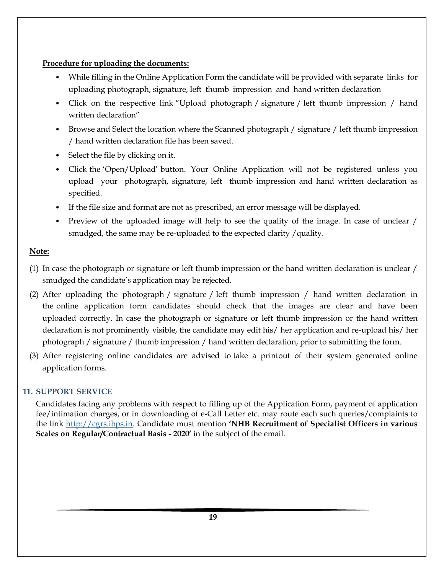#### **Procedure for uploading the documents:**

- While filling in the Online Application Form the candidate will be provided with separate links for uploading photograph, signature, left thumb impression and hand written declaration
- Click on the respective link "Upload photograph / signature / left thumb impression / hand written declaration"
- Browse and Select the location where the Scanned photograph / signature / left thumb impression / hand written declaration file has been saved.
- Select the file by clicking on it.
- Click the 'Open/Upload' button. Your Online Application will not be registered unless you upload your photograph, signature, left thumb impression and hand written declaration as specified.
- If the file size and format are not as prescribed, an error message will be displayed.
- Preview of the uploaded image will help to see the quality of the image. In case of unclear / smudged, the same may be re-uploaded to the expected clarity /quality.

## **Note:**

- (1) In case the photograph or signature or left thumb impression or the hand written declaration is unclear / smudged the candidate's application may be rejected.
- (2) After uploading the photograph / signature / left thumb impression / hand written declaration in the online application form candidates should check that the images are clear and have been uploaded correctly. In case the photograph or signature or left thumb impression or the hand written declaration is not prominently visible, the candidate may edit his/ her application and re-upload his/ her photograph / signature / thumb impression / hand written declaration, prior to submitting the form.
- (3) After registering online candidates are advised to take a printout of their system generated online application forms.

## **11. SUPPORT SERVICE**

Candidates facing any problems with respect to filling up of the Application Form, payment of application fee/intimation charges, or in downloading of e-Call Letter etc. may route each such queries/complaints to the link [http://cgrs.ibps.in.](http://cgrs.ibps.in/) Candidate must mention **'NHB Recruitment of Specialist Officers in various Scales on Regular/Contractual Basis - 2020'** in the subject of the email.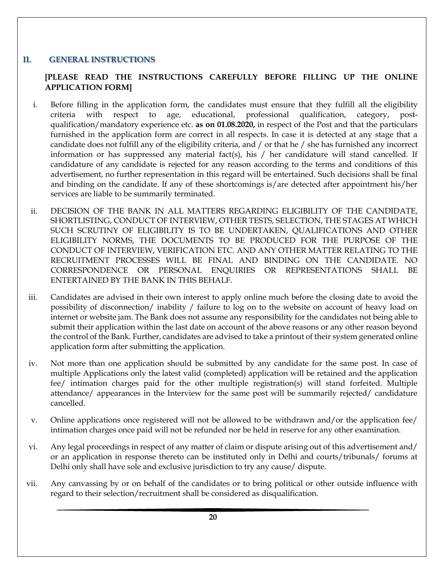#### **II. GENERAL INSTRUCTIONS**

#### **[PLEASE READ THE INSTRUCTIONS CAREFULLY BEFORE FILLING UP THE ONLINE APPLICATION FORM]**

- i. Before filling in the application form, the candidates must ensure that they fulfill all the eligibility criteria with respect to age, educational, professional qualification, category, postqualification/mandatory experience etc. **as on 01.08.2020,** in respect of the Post and that the particulars furnished in the application form are correct in all respects. In case it is detected at any stage that a candidate does not fulfill any of the eligibility criteria, and / or that he / she has furnished any incorrect information or has suppressed any material fact(s), his  $/$  her candidature will stand cancelled. If candidature of any candidate is rejected for any reason according to the terms and conditions of this advertisement, no further representation in this regard will be entertained. Such decisions shall be final and binding on the candidate. If any of these shortcomings is/are detected after appointment his/her services are liable to be summarily terminated.
- ii. DECISION OF THE BANK IN ALL MATTERS REGARDING ELIGIBILITY OF THE CANDIDATE, SHORTLISTING, CONDUCT OF INTERVIEW, OTHER TESTS, SELECTION, THE STAGES AT WHICH SUCH SCRUTINY OF ELIGIBILITY IS TO BE UNDERTAKEN, QUALIFICATIONS AND OTHER ELIGIBILITY NORMS, THE DOCUMENTS TO BE PRODUCED FOR THE PURPOSE OF THE CONDUCT OF INTERVIEW, VERIFICATION ETC. AND ANY OTHER MATTER RELATING TO THE RECRUITMENT PROCESSES WILL BE FINAL AND BINDING ON THE CANDIDATE. NO CORRESPONDENCE OR PERSONAL ENQUIRIES OR REPRESENTATIONS SHALL BE ENTERTAINED BY THE BANK IN THIS BEHALF.
- iii. Candidates are advised in their own interest to apply online much before the closing date to avoid the possibility of disconnection/ inability / failure to log on to the website on account of heavy load on internet or website jam. The Bank does not assume any responsibility for the candidates not being able to submit their application within the last date on account of the above reasons or any other reason beyond the control of the Bank. Further, candidates are advised to take a printout of their system generated online application form after submitting the application.
- iv. Not more than one application should be submitted by any candidate for the same post. In case of multiple Applications only the latest valid (completed) application will be retained and the application fee/ intimation charges paid for the other multiple registration(s) will stand forfeited. Multiple attendance/ appearances in the Interview for the same post will be summarily rejected/ candidature cancelled.
- v. Online applications once registered will not be allowed to be withdrawn and/or the application fee/ intimation charges once paid will not be refunded nor be held in reserve for any other examination.
- vi. Any legal proceedings in respect of any matter of claim or dispute arising out of this advertisement and/ or an application in response thereto can be instituted only in Delhi and courts/tribunals/ forums at Delhi only shall have sole and exclusive jurisdiction to try any cause/ dispute.
- vii. Any canvassing by or on behalf of the candidates or to bring political or other outside influence with regard to their selection/recruitment shall be considered as disqualification.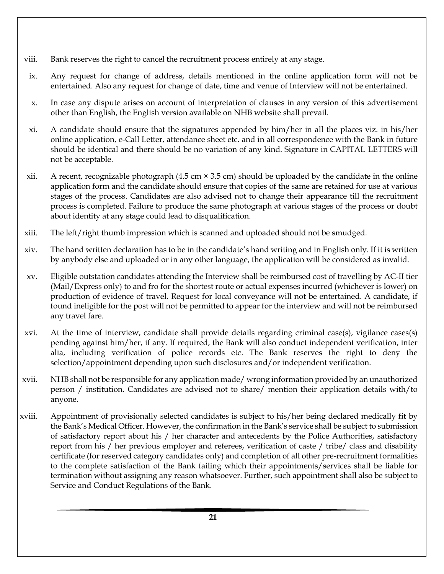- viii. Bank reserves the right to cancel the recruitment process entirely at any stage.
- ix. Any request for change of address, details mentioned in the online application form will not be entertained. Also any request for change of date, time and venue of Interview will not be entertained.
- x. In case any dispute arises on account of interpretation of clauses in any version of this advertisement other than English, the English version available on NHB website shall prevail.
- xi. A candidate should ensure that the signatures appended by him/her in all the places viz. in his/her online application, e-Call Letter, attendance sheet etc. and in all correspondence with the Bank in future should be identical and there should be no variation of any kind. Signature in CAPITAL LETTERS will not be acceptable.
- xii. A recent, recognizable photograph  $(4.5 \text{ cm} \times 3.5 \text{ cm})$  should be uploaded by the candidate in the online application form and the candidate should ensure that copies of the same are retained for use at various stages of the process. Candidates are also advised not to change their appearance till the recruitment process is completed. Failure to produce the same photograph at various stages of the process or doubt about identity at any stage could lead to disqualification.
- xiii. The left/right thumb impression which is scanned and uploaded should not be smudged.
- xiv. The hand written declaration has to be in the candidate's hand writing and in English only. If it is written by anybody else and uploaded or in any other language, the application will be considered as invalid.
- xv. Eligible outstation candidates attending the Interview shall be reimbursed cost of travelling by AC-II tier (Mail/Express only) to and fro for the shortest route or actual expenses incurred (whichever is lower) on production of evidence of travel. Request for local conveyance will not be entertained. A candidate, if found ineligible for the post will not be permitted to appear for the interview and will not be reimbursed any travel fare.
- xvi. At the time of interview, candidate shall provide details regarding criminal case(s), vigilance cases(s) pending against him/her, if any. If required, the Bank will also conduct independent verification, inter alia, including verification of police records etc. The Bank reserves the right to deny the selection/appointment depending upon such disclosures and/or independent verification.
- xvii. NHB shall not be responsible for any application made/ wrong information provided by an unauthorized person / institution. Candidates are advised not to share/ mention their application details with/to anyone.
- xviii. Appointment of provisionally selected candidates is subject to his/her being declared medically fit by the Bank's Medical Officer. However, the confirmation in the Bank's service shall be subject to submission of satisfactory report about his / her character and antecedents by the Police Authorities, satisfactory report from his / her previous employer and referees, verification of caste / tribe/ class and disability certificate (for reserved category candidates only) and completion of all other pre-recruitment formalities to the complete satisfaction of the Bank failing which their appointments/services shall be liable for termination without assigning any reason whatsoever. Further, such appointment shall also be subject to Service and Conduct Regulations of the Bank.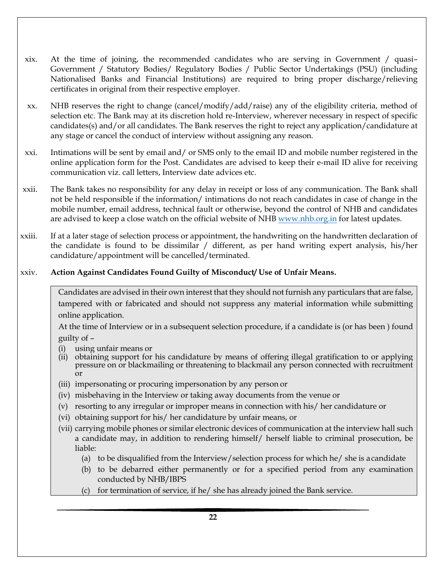- xix. At the time of joining, the recommended candidates who are serving in Government / quasi– Government / Statutory Bodies/ Regulatory Bodies / Public Sector Undertakings (PSU) (including Nationalised Banks and Financial Institutions) are required to bring proper discharge/relieving certificates in original from their respective employer.
- xx. NHB reserves the right to change (cancel/modify/add/raise) any of the eligibility criteria, method of selection etc. The Bank may at its discretion hold re-Interview, wherever necessary in respect of specific candidates(s) and/or all candidates. The Bank reserves the right to reject any application/candidature at any stage or cancel the conduct of interview without assigning any reason.
- xxi. Intimations will be sent by email and/ or SMS only to the email ID and mobile number registered in the online application form for the Post. Candidates are advised to keep their e-mail ID alive for receiving communication viz. call letters, Interview date advices etc.
- xxii. The Bank takes no responsibility for any delay in receipt or loss of any communication. The Bank shall not be held responsible if the information/ intimations do not reach candidates in case of change in the mobile number, email address, technical fault or otherwise, beyond the control of NHB and candidates are advised to keep a close watch on the official website of NH[B www.nhb.org.in](http://www.nhb.org.in/) for latest updates.
- xxiii. If at a later stage of selection process or appointment, the handwriting on the handwritten declaration of the candidate is found to be dissimilar / different, as per hand writing expert analysis, his/her candidature/appointment will be cancelled/terminated.

#### xxiv. **Action Against Candidates Found Guilty of Misconduct/ Use of Unfair Means.**

Candidates are advised in their own interest that they should not furnish any particulars that are false, tampered with or fabricated and should not suppress any material information while submitting online application.

At the time of Interview or in a subsequent selection procedure, if a candidate is (or has been ) found guilty of –

- (i) using unfair means or
- (ii) obtaining support for his candidature by means of offering illegal gratification to or applying pressure on or blackmailing or threatening to blackmail any person connected with recruitment or
- (iii) impersonating or procuring impersonation by any person or
- (iv) misbehaving in the Interview or taking away documents from the venue or
- (v) resorting to any irregular or improper means in connection with his/ her candidature or
- (vi) obtaining support for his/ her candidature by unfair means, or
- (vii) carrying mobile phones or similar electronic devices of communication at the interview hall such a candidate may, in addition to rendering himself/ herself liable to criminal prosecution, be liable:
	- (a) to be disqualified from the Interview/selection process for which he/ she is acandidate
	- (b) to be debarred either permanently or for a specified period from any examination conducted by NHB/IBPS
	- (c) for termination of service, if he/ she has already joined the Bank service.